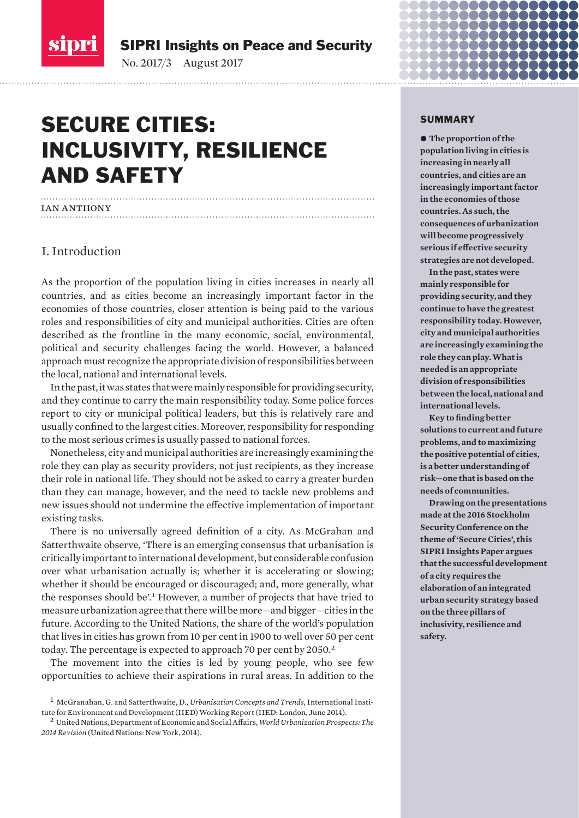<span id="page-0-0"></span>sipri

SIPRI Insights on Peace and Security

No. 2017/3 August 2017

# SECURE CITIES: INCLUSIVITY, RESILIENCE AND SAFETY

## ian anthony

## I. Introduction

As the proportion of the population living in cities increases in nearly all countries, and as cities become an increasingly important factor in the economies of those countries, closer attention is being paid to the various roles and responsibilities of city and municipal authorities. Cities are often described as the frontline in the many economic, social, environmental, political and security challenges facing the world. However, a balanced approach must recognize the appropriate division of responsibilities between the local, national and international levels.

In the past, it was states that were mainly responsible for providing security, and they continue to carry the main responsibility today. Some police forces report to city or municipal political leaders, but this is relatively rare and usually confined to the largest cities. Moreover, responsibility for responding to the most serious crimes is usually passed to national forces.

Nonetheless, city and municipal authorities are increasingly examining the role they can play as security providers, not just recipients, as they increase their role in national life. They should not be asked to carry a greater burden than they can manage, however, and the need to tackle new problems and new issues should not undermine the effective implementation of important existing tasks.

There is no universally agreed definition of a city. As McGrahan and Satterthwaite observe, 'There is an emerging consensus that urbanisation is critically important to international development, but considerable confusion over what urbanisation actually is; whether it is accelerating or slowing; whether it should be encouraged or discouraged; and, more generally, what the responses should be'.<sup>1</sup> However, a number of projects that have tried to measure urbanization agree that there will be more—and bigger—cities in the future. According to the United Nations, the share of the world's population that lives in cities has grown from 10 per cent in 1900 to well over 50 per cent today. The percentage is expected to approach 70 per cent by 2050.<sup>2</sup>

The movement into the cities is led by young people, who see few opportunities to achieve their aspirations in rural areas. In addition to the

#### SUMMARY

 $\bullet$  The proportion of the **population living in cities is increasing in nearly all countries, and cities are an increasingly important factor in the economies of those countries. As such, the consequences of urbanization will become progressively serious if effective security strategies are not developed.** 

**In the past, states were mainly responsible for providing security, and they continue to have the greatest responsibility today. However, city and municipal authorities are increasingly examining the role they can play. What is needed is an appropriate division of responsibilities between the local, national and international levels.**

**Key to finding better solutions to current and future problems, and to maximizing the positive potential of cities, is a better understanding of risk—one that is based on the needs of communities.**

**Drawing on the presentations made at the 2016 Stockholm Security Conference on the theme of 'Secure Cities', this SIPRI Insights Paper argues that the successful development of a city requires the elaboration of an integrated urban security strategy based on the three pillars of inclusivity, resilience and safety.** 

<sup>1</sup> McGranahan, G. and Satterthwaite, D., *Urbanisation Concepts and Trends*, International Institute for Environment and Development (IIED) Working Report (IIED: London, June 2014).

<sup>2</sup> United Nations, Department of Economic and Social Affairs, *World Urbanization Prospects: The 2014 Revision* (United Nations: New York, 2014).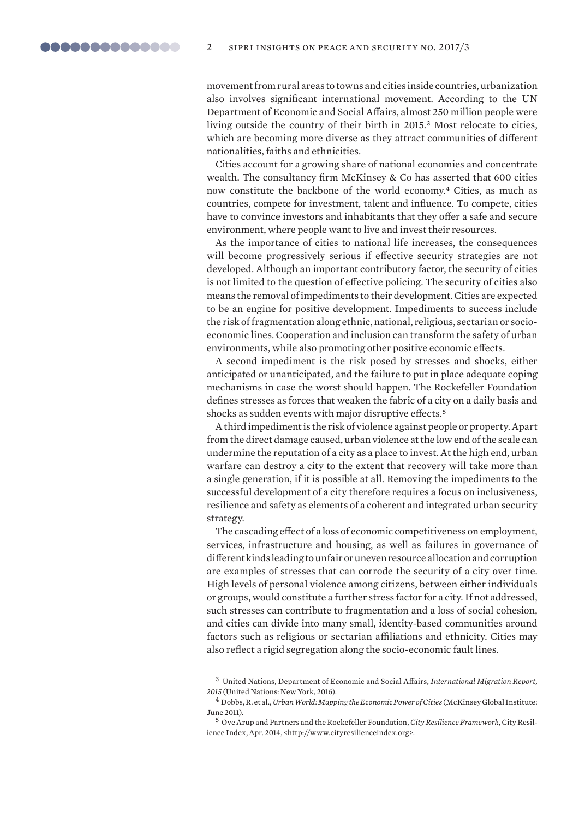<span id="page-1-0"></span>movement from rural areas to towns and cities inside countries, urbanization also involves significant international movement. According to the UN Department of Economic and Social Affairs, almost 250 million people were living outside the country of their birth in 2015.<sup>3</sup> Most relocate to cities, which are becoming more diverse as they attract communities of different nationalities, faiths and ethnicities.

Cities account for a growing share of national economies and concentrate wealth. The consultancy firm McKinsey & Co has asserted that 600 cities now constitute the backbone of the world economy.<sup>4</sup> Cities, as much as countries, compete for investment, talent and influence. To compete, cities have to convince investors and inhabitants that they offer a safe and secure environment, where people want to live and invest their resources.

As the importance of cities to national life increases, the consequences will become progressively serious if effective security strategies are not developed. Although an important contributory factor, the security of cities is not limited to the question of effective policing. The security of cities also means the removal of impediments to their development. Cities are expected to be an engine for positive development. Impediments to success include the risk of fragmentation along ethnic, national, religious, sectarian or socioeconomic lines. Cooperation and inclusion can transform the safety of urban environments, while also promoting other positive economic effects.

A second impediment is the risk posed by stresses and shocks, either anticipated or unanticipated, and the failure to put in place adequate coping mechanisms in case the worst should happen. The Rockefeller Foundation defines stresses as forces that weaken the fabric of a city on a daily basis and shocks as sudden events with major disruptive effects.<sup>5</sup>

A third impediment is the risk of violence against people or property. Apart from the direct damage caused, urban violence at the low end of the scale can undermine the reputation of a city as a place to invest. At the high end, urban warfare can destroy a city to the extent that recovery will take more than a single generation, if it is possible at all. Removing the impediments to the successful development of a city therefore requires a focus on inclusiveness, resilience and safety as elements of a coherent and integrated urban security strategy.

The cascading effect of a loss of economic competitiveness on employment, services, infrastructure and housing, as well as failures in governance of different kinds leading to unfair or uneven resource allocation and corruption are examples of stresses that can corrode the security of a city over time. High levels of personal violence among citizens, between either individuals or groups, would constitute a further stress factor for a city. If not addressed, such stresses can contribute to fragmentation and a loss of social cohesion, and cities can divide into many small, identity-based communities around factors such as religious or sectarian affiliations and ethnicity. Cities may also reflect a rigid segregation along the socio-economic fault lines.

<sup>3</sup> United Nations, Department of Economic and Social Affairs, *International Migration Report, 2015* (United Nations: New York, 2016).

<sup>4</sup> Dobbs, R. et al., *Urban World: Mapping the Economic Power of Cities* (McKinsey Global Institute: June 2011).

<sup>5</sup> Ove Arup and Partners and the Rockefeller Foundation, *City Resilience Framework*, City Resilience Index, Apr. 2014, <http://www.cityresilienceindex.org>.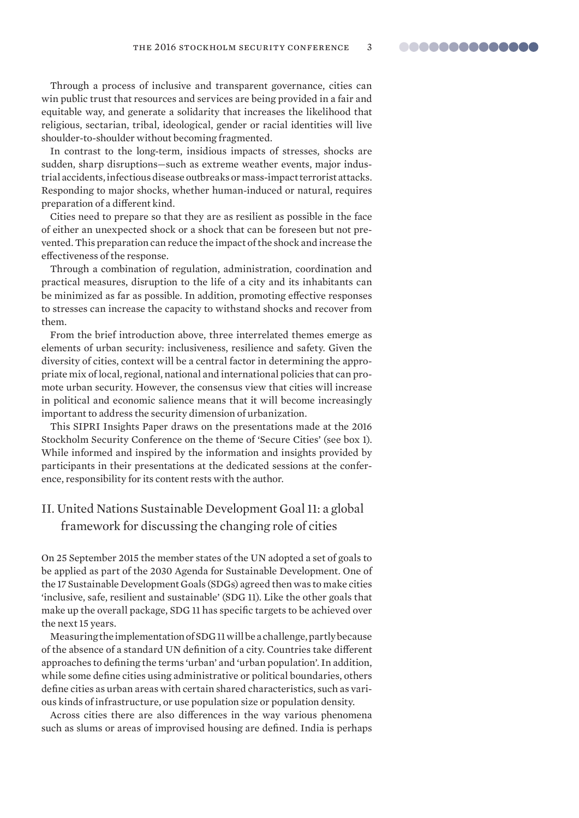<span id="page-2-0"></span>Through a process of inclusive and transparent governance, cities can win public trust that resources and services are being provided in a fair and equitable way, and generate a solidarity that increases the likelihood that religious, sectarian, tribal, ideological, gender or racial identities will live shoulder-to-shoulder without becoming fragmented.

In contrast to the long-term, insidious impacts of stresses, shocks are sudden, sharp disruptions—such as extreme weather events, major industrial accidents, infectious disease outbreaks or mass-impact terrorist attacks. Responding to major shocks, whether human-induced or natural, requires preparation of a different kind.

Cities need to prepare so that they are as resilient as possible in the face of either an unexpected shock or a shock that can be foreseen but not prevented. This preparation can reduce the impact of the shock and increase the effectiveness of the response.

Through a combination of regulation, administration, coordination and practical measures, disruption to the life of a city and its inhabitants can be minimized as far as possible. In addition, promoting effective responses to stresses can increase the capacity to withstand shocks and recover from them.

From the brief introduction above, three interrelated themes emerge as elements of urban security: inclusiveness, resilience and safety. Given the diversity of cities, context will be a central factor in determining the appropriate mix of local, regional, national and international policies that can promote urban security. However, the consensus view that cities will increase in political and economic salience means that it will become increasingly important to address the security dimension of urbanization.

This SIPRI Insights Paper draws on the presentations made at the 2016 Stockholm Security Conference on the theme of 'Secure Cities' (see box 1). While informed and inspired by the information and insights provided by participants in their presentations at the dedicated sessions at the conference, responsibility for its content rests with the author.

## II. United Nations Sustainable Development Goal 11: a global framework for discussing the changing role of cities

On 25 September 2015 the member states of the UN adopted a set of goals to be applied as part of the 2030 Agenda for Sustainable Development. One of the 17 Sustainable Development Goals (SDGs) agreed then was to make cities 'inclusive, safe, resilient and sustainable' (SDG 11). Like the other goals that make up the overall package, SDG 11 has specific targets to be achieved over the next 15 years.

Measuring the implementation of SDG 11 will be a challenge, partly because of the absence of a standard UN definition of a city. Countries take different approaches to defining the terms 'urban' and 'urban population'. In addition, while some define cities using administrative or political boundaries, others define cities as urban areas with certain shared characteristics, such as various kinds of infrastructure, or use population size or population density.

Across cities there are also differences in the way various phenomena such as slums or areas of improvised housing are defined. India is perhaps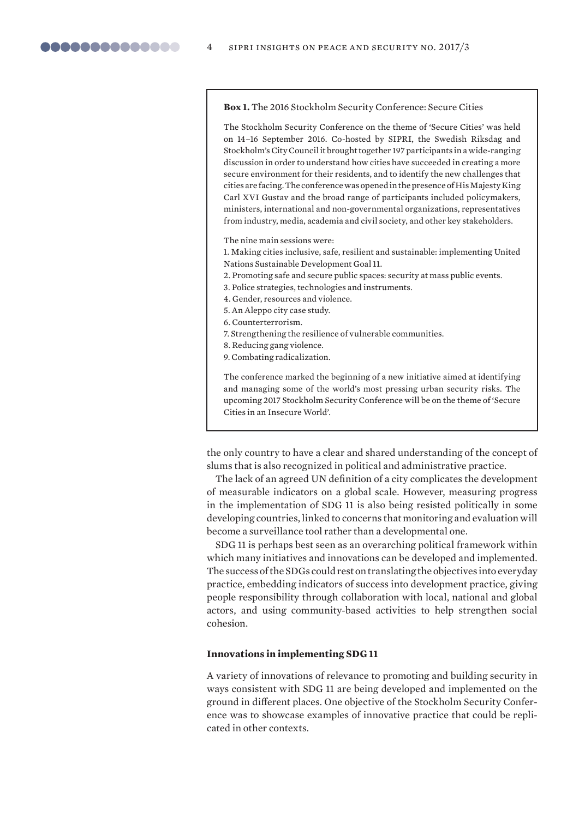#### **Box 1.** The 2016 Stockholm Security Conference: Secure Cities

The Stockholm Security Conference on the theme of 'Secure Cities' was held on 14–16 September 2016. Co-hosted by SIPRI, the Swedish Riksdag and Stockholm's City Council it brought together 197 participants in a wide-ranging discussion in order to understand how cities have succeeded in creating a more secure environment for their residents, and to identify the new challenges that cities are facing. The conference was opened in the presence of His Majesty King Carl XVI Gustav and the broad range of participants included policymakers, ministers, international and non-governmental organizations, representatives from industry, media, academia and civil society, and other key stakeholders.

The nine main sessions were:

1. Making cities inclusive, safe, resilient and sustainable: implementing United Nations Sustainable Development Goal 11.

- 2. Promoting safe and secure public spaces: security at mass public events.
- 3. Police strategies, technologies and instruments.
- 4. Gender, resources and violence.
- 5. An Aleppo city case study.
- 6. Counterterrorism.
- 7. Strengthening the resilience of vulnerable communities.
- 8. Reducing gang violence.

9. Combating radicalization.

The conference marked the beginning of a new initiative aimed at identifying and managing some of the world's most pressing urban security risks. The upcoming 2017 Stockholm Security Conference will be on the theme of 'Secure Cities in an Insecure World'.

the only country to have a clear and shared understanding of the concept of slums that is also recognized in political and administrative practice.

The lack of an agreed UN definition of a city complicates the development of measurable indicators on a global scale. However, measuring progress in the implementation of SDG 11 is also being resisted politically in some developing countries, linked to concerns that monitoring and evaluation will become a surveillance tool rather than a developmental one.

SDG 11 is perhaps best seen as an overarching political framework within which many initiatives and innovations can be developed and implemented. The success of the SDGs could rest on translating the objectives into everyday practice, embedding indicators of success into development practice, giving people responsibility through collaboration with local, national and global actors, and using community-based activities to help strengthen social cohesion.

## **Innovations in implementing SDG 11**

A variety of innovations of relevance to promoting and building security in ways consistent with SDG 11 are being developed and implemented on the ground in different places. One objective of the Stockholm Security Conference was to showcase examples of innovative practice that could be replicated in other contexts.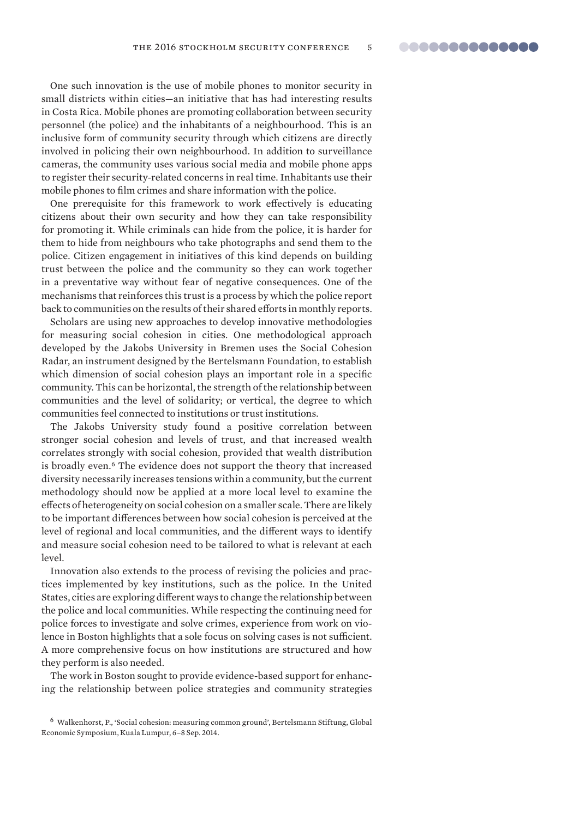One such innovation is the use of mobile phones to monitor security in small districts within cities—an initiative that has had interesting results in Costa Rica. Mobile phones are promoting collaboration between security personnel (the police) and the inhabitants of a neighbourhood. This is an inclusive form of community security through which citizens are directly involved in policing their own neighbourhood. In addition to surveillance cameras, the community uses various social media and mobile phone apps to register their security-related concerns in real time. Inhabitants use their mobile phones to film crimes and share information with the police.

One prerequisite for this framework to work effectively is educating citizens about their own security and how they can take responsibility for promoting it. While criminals can hide from the police, it is harder for them to hide from neighbours who take photographs and send them to the police. Citizen engagement in initiatives of this kind depends on building trust between the police and the community so they can work together in a preventative way without fear of negative consequences. One of the mechanisms that reinforces this trust is a process by which the police report back to communities on the results of their shared efforts in monthly reports.

Scholars are using new approaches to develop innovative methodologies for measuring social cohesion in cities. One methodological approach developed by the Jakobs University in Bremen uses the Social Cohesion Radar, an instrument designed by the Bertelsmann Foundation, to establish which dimension of social cohesion plays an important role in a specific community. This can be horizontal, the strength of the relationship between communities and the level of solidarity; or vertical, the degree to which communities feel connected to institutions or trust institutions.

The Jakobs University study found a positive correlation between stronger social cohesion and levels of trust, and that increased wealth correlates strongly with social cohesion, provided that wealth distribution is broadly even.<sup>6</sup> The evidence does not support the theory that increased diversity necessarily increases tensions within a community, but the current methodology should now be applied at a more local level to examine the effects of heterogeneity on social cohesion on a smaller scale. There are likely to be important differences between how social cohesion is perceived at the level of regional and local communities, and the different ways to identify and measure social cohesion need to be tailored to what is relevant at each level.

Innovation also extends to the process of revising the policies and practices implemented by key institutions, such as the police. In the United States, cities are exploring different ways to change the relationship between the police and local communities. While respecting the continuing need for police forces to investigate and solve crimes, experience from work on violence in Boston highlights that a sole focus on solving cases is not sufficient. A more comprehensive focus on how institutions are structured and how they perform is also needed.

The work in Boston sought to provide evidence-based support for enhancing the relationship between police strategies and community strategies

<sup>6</sup> Walkenhorst, P., 'Social cohesion: measuring common ground', Bertelsmann Stiftung, Global Economic Symposium, Kuala Lumpur, 6–8 Sep. 2014.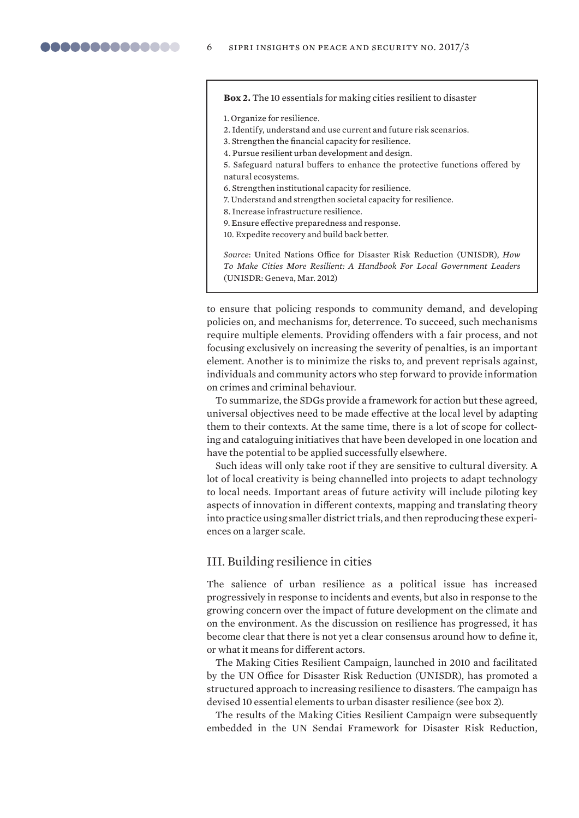<span id="page-5-0"></span>**Box 2.** The 10 essentials for making cities resilient to disaster

1. Organize for resilience.

- 2. Identify, understand and use current and future risk scenarios.
- 3. Strengthen the financial capacity for resilience.
- 4. Pursue resilient urban development and design.
- 5. Safeguard natural buffers to enhance the protective functions offered by natural ecosystems.
- 6. Strengthen institutional capacity for resilience.
- 7. Understand and strengthen societal capacity for resilience.
- 8. Increase infrastructure resilience.
- 9. Ensure effective preparedness and response.
- 10. Expedite recovery and build back better.

*Source*: United Nations Office for Disaster Risk Reduction (UNISDR), *How To Make Cities More Resilient: A Handbook For Local Government Leaders* (UNISDR: Geneva, Mar. 2012)

to ensure that policing responds to community demand, and developing policies on, and mechanisms for, deterrence. To succeed, such mechanisms require multiple elements. Providing offenders with a fair process, and not focusing exclusively on increasing the severity of penalties, is an important element. Another is to minimize the risks to, and prevent reprisals against, individuals and community actors who step forward to provide information on crimes and criminal behaviour.

To summarize, the SDGs provide a framework for action but these agreed, universal objectives need to be made effective at the local level by adapting them to their contexts. At the same time, there is a lot of scope for collecting and cataloguing initiatives that have been developed in one location and have the potential to be applied successfully elsewhere.

Such ideas will only take root if they are sensitive to cultural diversity. A lot of local creativity is being channelled into projects to adapt technology to local needs. Important areas of future activity will include piloting key aspects of innovation in different contexts, mapping and translating theory into practice using smaller district trials, and then reproducing these experiences on a larger scale.

## III. Building resilience in cities

The salience of urban resilience as a political issue has increased progressively in response to incidents and events, but also in response to the growing concern over the impact of future development on the climate and on the environment. As the discussion on resilience has progressed, it has become clear that there is not yet a clear consensus around how to define it, or what it means for different actors.

The Making Cities Resilient Campaign, launched in 2010 and facilitated by the UN Office for Disaster Risk Reduction (UNISDR), has promoted a structured approach to increasing resilience to disasters. The campaign has devised 10 essential elements to urban disaster resilience (see box 2).

The results of the Making Cities Resilient Campaign were subsequently embedded in the UN Sendai Framework for Disaster Risk Reduction,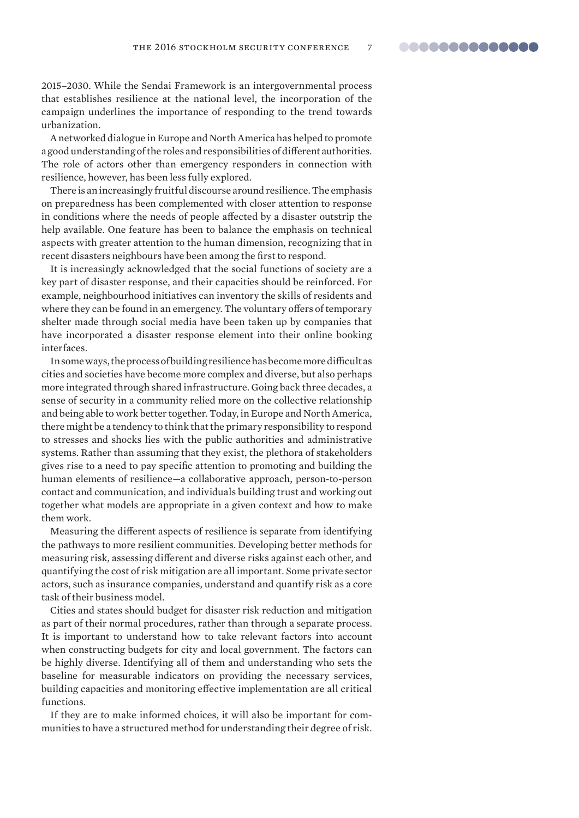2015–2030. While the Sendai Framework is an intergovernmental process that establishes resilience at the national level, the incorporation of the campaign underlines the importance of responding to the trend towards urbanization.

A networked dialogue in Europe and North America has helped to promote a good understanding of the roles and responsibilities of different authorities. The role of actors other than emergency responders in connection with resilience, however, has been less fully explored.

There is an increasingly fruitful discourse around resilience. The emphasis on preparedness has been complemented with closer attention to response in conditions where the needs of people affected by a disaster outstrip the help available. One feature has been to balance the emphasis on technical aspects with greater attention to the human dimension, recognizing that in recent disasters neighbours have been among the first to respond.

It is increasingly acknowledged that the social functions of society are a key part of disaster response, and their capacities should be reinforced. For example, neighbourhood initiatives can inventory the skills of residents and where they can be found in an emergency. The voluntary offers of temporary shelter made through social media have been taken up by companies that have incorporated a disaster response element into their online booking interfaces.

In some ways, the process of building resilience has become more difficult as cities and societies have become more complex and diverse, but also perhaps more integrated through shared infrastructure. Going back three decades, a sense of security in a community relied more on the collective relationship and being able to work better together. Today, in Europe and North America, there might be a tendency to think that the primary responsibility to respond to stresses and shocks lies with the public authorities and administrative systems. Rather than assuming that they exist, the plethora of stakeholders gives rise to a need to pay specific attention to promoting and building the human elements of resilience—a collaborative approach, person-to-person contact and communication, and individuals building trust and working out together what models are appropriate in a given context and how to make them work.

Measuring the different aspects of resilience is separate from identifying the pathways to more resilient communities. Developing better methods for measuring risk, assessing different and diverse risks against each other, and quantifying the cost of risk mitigation are all important. Some private sector actors, such as insurance companies, understand and quantify risk as a core task of their business model.

Cities and states should budget for disaster risk reduction and mitigation as part of their normal procedures, rather than through a separate process. It is important to understand how to take relevant factors into account when constructing budgets for city and local government. The factors can be highly diverse. Identifying all of them and understanding who sets the baseline for measurable indicators on providing the necessary services, building capacities and monitoring effective implementation are all critical functions.

If they are to make informed choices, it will also be important for communities to have a structured method for understanding their degree of risk.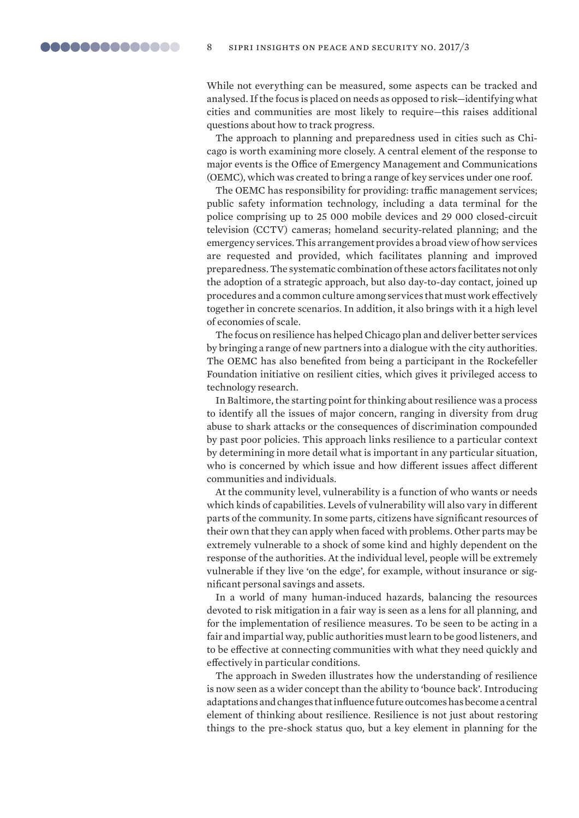While not everything can be measured, some aspects can be tracked and analysed. If the focus is placed on needs as opposed to risk—identifying what cities and communities are most likely to require—this raises additional questions about how to track progress.

The approach to planning and preparedness used in cities such as Chicago is worth examining more closely. A central element of the response to major events is the Office of Emergency Management and Communications (OEMC), which was created to bring a range of key services under one roof.

The OEMC has responsibility for providing: traffic management services; public safety information technology, including a data terminal for the police comprising up to 25 000 mobile devices and 29 000 closed-circuit television (CCTV) cameras; homeland security-related planning; and the emergency services. This arrangement provides a broad view of how services are requested and provided, which facilitates planning and improved preparedness. The systematic combination of these actors facilitates not only the adoption of a strategic approach, but also day-to-day contact, joined up procedures and a common culture among services that must work effectively together in concrete scenarios. In addition, it also brings with it a high level of economies of scale.

The focus on resilience has helped Chicago plan and deliver better services by bringing a range of new partners into a dialogue with the city authorities. The OEMC has also benefited from being a participant in the Rockefeller Foundation initiative on resilient cities, which gives it privileged access to technology research.

In Baltimore, the starting point for thinking about resilience was a process to identify all the issues of major concern, ranging in diversity from drug abuse to shark attacks or the consequences of discrimination compounded by past poor policies. This approach links resilience to a particular context by determining in more detail what is important in any particular situation, who is concerned by which issue and how different issues affect different communities and individuals.

At the community level, vulnerability is a function of who wants or needs which kinds of capabilities. Levels of vulnerability will also vary in different parts of the community. In some parts, citizens have significant resources of their own that they can apply when faced with problems. Other parts may be extremely vulnerable to a shock of some kind and highly dependent on the response of the authorities. At the individual level, people will be extremely vulnerable if they live 'on the edge', for example, without insurance or significant personal savings and assets.

In a world of many human-induced hazards, balancing the resources devoted to risk mitigation in a fair way is seen as a lens for all planning, and for the implementation of resilience measures. To be seen to be acting in a fair and impartial way, public authorities must learn to be good listeners, and to be effective at connecting communities with what they need quickly and effectively in particular conditions.

The approach in Sweden illustrates how the understanding of resilience is now seen as a wider concept than the ability to 'bounce back'. Introducing adaptations and changes that influence future outcomes has become a central element of thinking about resilience. Resilience is not just about restoring things to the pre-shock status quo, but a key element in planning for the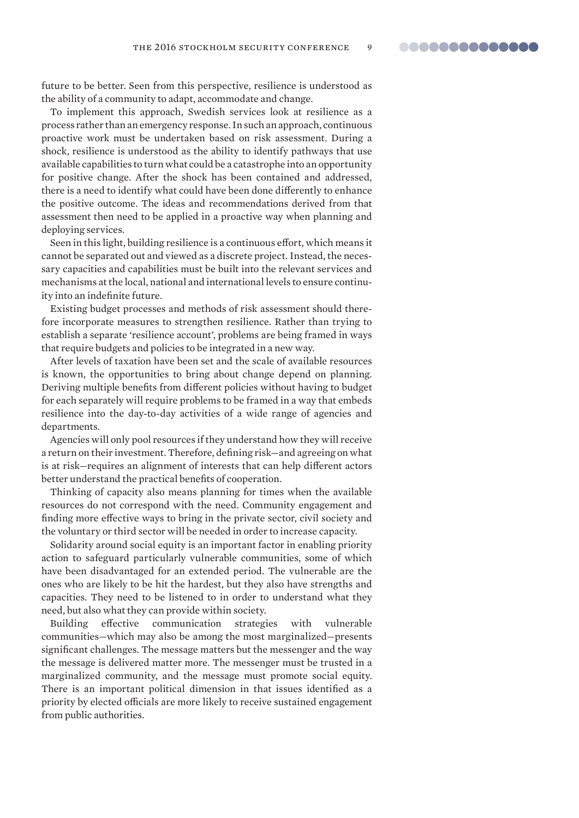<span id="page-8-0"></span>future to be better. Seen from this perspective, resilience is understood as the ability of a community to adapt, accommodate and change.

To implement this approach, Swedish services look at resilience as a process rather than an emergency response. In such an approach, continuous proactive work must be undertaken based on risk assessment. During a shock, resilience is understood as the ability to identify pathways that use available capabilities to turn what could be a catastrophe into an opportunity for positive change. After the shock has been contained and addressed, there is a need to identify what could have been done differently to enhance the positive outcome. The ideas and recommendations derived from that assessment then need to be applied in a proactive way when planning and deploying services.

Seen in this light, building resilience is a continuous effort, which means it cannot be separated out and viewed as a discrete project. Instead, the necessary capacities and capabilities must be built into the relevant services and mechanisms at the local, national and international levels to ensure continuity into an indefinite future.

Existing budget processes and methods of risk assessment should therefore incorporate measures to strengthen resilience. Rather than trying to establish a separate 'resilience account', problems are being framed in ways that require budgets and policies to be integrated in a new way.

After levels of taxation have been set and the scale of available resources is known, the opportunities to bring about change depend on planning. Deriving multiple benefits from different policies without having to budget for each separately will require problems to be framed in a way that embeds resilience into the day-to-day activities of a wide range of agencies and departments.

Agencies will only pool resources if they understand how they will receive a return on their investment. Therefore, defining risk—and agreeing on what is at risk—requires an alignment of interests that can help different actors better understand the practical benefits of cooperation.

Thinking of capacity also means planning for times when the available resources do not correspond with the need. Community engagement and finding more effective ways to bring in the private sector, civil society and the voluntary or third sector will be needed in order to increase capacity.

Solidarity around social equity is an important factor in enabling priority action to safeguard particularly vulnerable communities, some of which have been disadvantaged for an extended period. The vulnerable are the ones who are likely to be hit the hardest, but they also have strengths and capacities. They need to be listened to in order to understand what they need, but also what they can provide within society.

Building effective communication strategies with vulnerable communities—which may also be among the most marginalized—presents significant challenges. The message matters but the messenger and the way the message is delivered matter more. The messenger must be trusted in a marginalized community, and the message must promote social equity. There is an important political dimension in that issues identified as a priority by elected officials are more likely to receive sustained engagement from public authorities.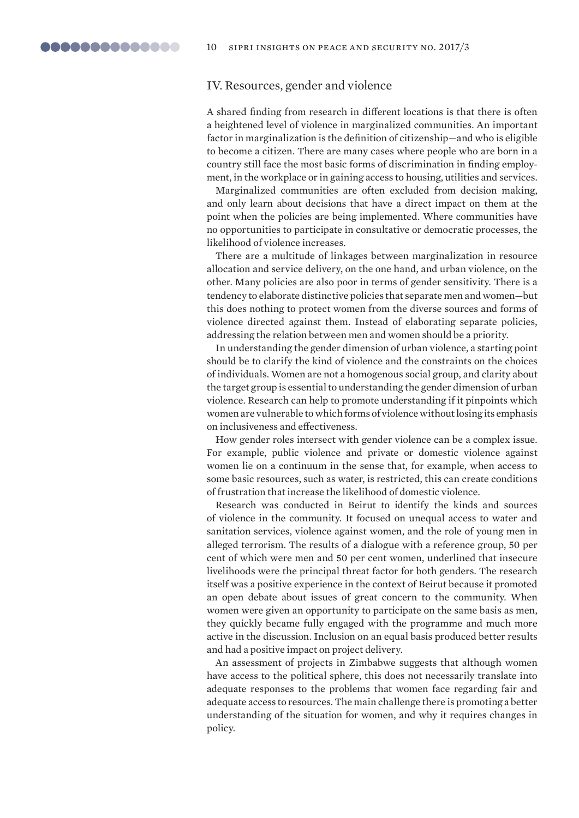## IV. Resources, gender and violence

A shared finding from research in different locations is that there is often a heightened level of violence in marginalized communities. An important factor in marginalization is the definition of citizenship—and who is eligible to become a citizen. There are many cases where people who are born in a country still face the most basic forms of discrimination in finding employment, in the workplace or in gaining access to housing, utilities and services.

Marginalized communities are often excluded from decision making, and only learn about decisions that have a direct impact on them at the point when the policies are being implemented. Where communities have no opportunities to participate in consultative or democratic processes, the likelihood of violence increases.

There are a multitude of linkages between marginalization in resource allocation and service delivery, on the one hand, and urban violence, on the other. Many policies are also poor in terms of gender sensitivity. There is a tendency to elaborate distinctive policies that separate men and women—but this does nothing to protect women from the diverse sources and forms of violence directed against them. Instead of elaborating separate policies, addressing the relation between men and women should be a priority.

In understanding the gender dimension of urban violence, a starting point should be to clarify the kind of violence and the constraints on the choices of individuals. Women are not a homogenous social group, and clarity about the target group is essential to understanding the gender dimension of urban violence. Research can help to promote understanding if it pinpoints which women are vulnerable to which forms of violence without losing its emphasis on inclusiveness and effectiveness.

How gender roles intersect with gender violence can be a complex issue. For example, public violence and private or domestic violence against women lie on a continuum in the sense that, for example, when access to some basic resources, such as water, is restricted, this can create conditions of frustration that increase the likelihood of domestic violence.

Research was conducted in Beirut to identify the kinds and sources of violence in the community. It focused on unequal access to water and sanitation services, violence against women, and the role of young men in alleged terrorism. The results of a dialogue with a reference group, 50 per cent of which were men and 50 per cent women, underlined that insecure livelihoods were the principal threat factor for both genders. The research itself was a positive experience in the context of Beirut because it promoted an open debate about issues of great concern to the community. When women were given an opportunity to participate on the same basis as men, they quickly became fully engaged with the programme and much more active in the discussion. Inclusion on an equal basis produced better results and had a positive impact on project delivery.

An assessment of projects in Zimbabwe suggests that although women have access to the political sphere, this does not necessarily translate into adequate responses to the problems that women face regarding fair and adequate access to resources. The main challenge there is promoting a better understanding of the situation for women, and why it requires changes in policy.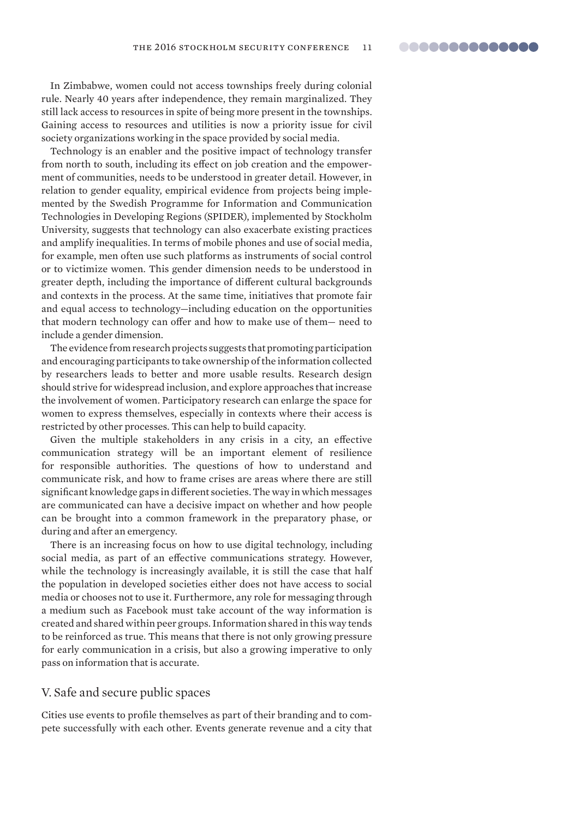<span id="page-10-0"></span>In Zimbabwe, women could not access townships freely during colonial rule. Nearly 40 years after independence, they remain marginalized. They still lack access to resources in spite of being more present in the townships. Gaining access to resources and utilities is now a priority issue for civil society organizations working in the space provided by social media.

Technology is an enabler and the positive impact of technology transfer from north to south, including its effect on job creation and the empowerment of communities, needs to be understood in greater detail. However, in relation to gender equality, empirical evidence from projects being implemented by the Swedish Programme for Information and Communication Technologies in Developing Regions (SPIDER), implemented by Stockholm University, suggests that technology can also exacerbate existing practices and amplify inequalities. In terms of mobile phones and use of social media, for example, men often use such platforms as instruments of social control or to victimize women. This gender dimension needs to be understood in greater depth, including the importance of different cultural backgrounds and contexts in the process. At the same time, initiatives that promote fair and equal access to technology—including education on the opportunities that modern technology can offer and how to make use of them— need to include a gender dimension.

The evidence from research projects suggests that promoting participation and encouraging participants to take ownership of the information collected by researchers leads to better and more usable results. Research design should strive for widespread inclusion, and explore approaches that increase the involvement of women. Participatory research can enlarge the space for women to express themselves, especially in contexts where their access is restricted by other processes. This can help to build capacity.

Given the multiple stakeholders in any crisis in a city, an effective communication strategy will be an important element of resilience for responsible authorities. The questions of how to understand and communicate risk, and how to frame crises are areas where there are still significant knowledge gaps in different societies. The way in which messages are communicated can have a decisive impact on whether and how people can be brought into a common framework in the preparatory phase, or during and after an emergency.

There is an increasing focus on how to use digital technology, including social media, as part of an effective communications strategy. However, while the technology is increasingly available, it is still the case that half the population in developed societies either does not have access to social media or chooses not to use it. Furthermore, any role for messaging through a medium such as Facebook must take account of the way information is created and shared within peer groups. Information shared in this way tends to be reinforced as true. This means that there is not only growing pressure for early communication in a crisis, but also a growing imperative to only pass on information that is accurate.

## V. Safe and secure public spaces

Cities use events to profile themselves as part of their branding and to compete successfully with each other. Events generate revenue and a city that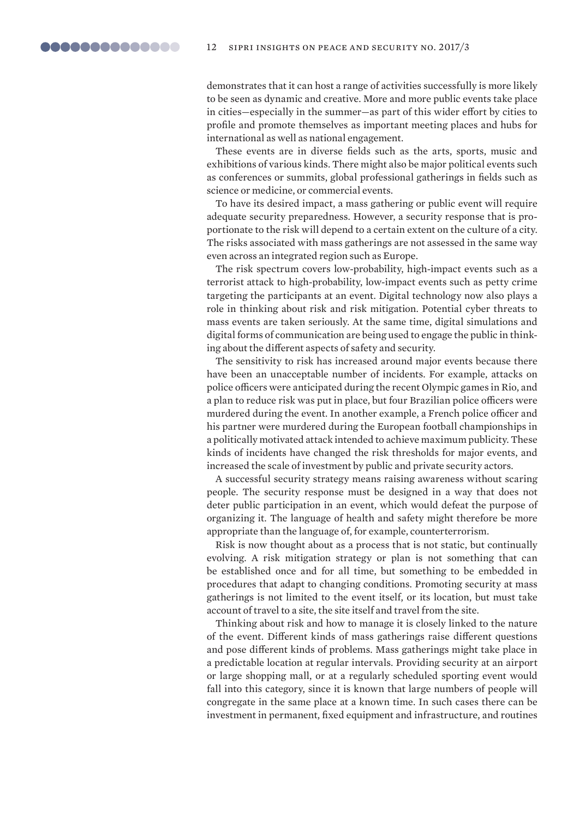demonstrates that it can host a range of activities successfully is more likely to be seen as dynamic and creative. More and more public events take place in cities—especially in the summer—as part of this wider effort by cities to profile and promote themselves as important meeting places and hubs for international as well as national engagement.

These events are in diverse fields such as the arts, sports, music and exhibitions of various kinds. There might also be major political events such as conferences or summits, global professional gatherings in fields such as science or medicine, or commercial events.

To have its desired impact, a mass gathering or public event will require adequate security preparedness. However, a security response that is proportionate to the risk will depend to a certain extent on the culture of a city. The risks associated with mass gatherings are not assessed in the same way even across an integrated region such as Europe.

The risk spectrum covers low-probability, high-impact events such as a terrorist attack to high-probability, low-impact events such as petty crime targeting the participants at an event. Digital technology now also plays a role in thinking about risk and risk mitigation. Potential cyber threats to mass events are taken seriously. At the same time, digital simulations and digital forms of communication are being used to engage the public in thinking about the different aspects of safety and security.

The sensitivity to risk has increased around major events because there have been an unacceptable number of incidents. For example, attacks on police officers were anticipated during the recent Olympic games in Rio, and a plan to reduce risk was put in place, but four Brazilian police officers were murdered during the event. In another example, a French police officer and his partner were murdered during the European football championships in a politically motivated attack intended to achieve maximum publicity. These kinds of incidents have changed the risk thresholds for major events, and increased the scale of investment by public and private security actors.

A successful security strategy means raising awareness without scaring people. The security response must be designed in a way that does not deter public participation in an event, which would defeat the purpose of organizing it. The language of health and safety might therefore be more appropriate than the language of, for example, counterterrorism.

Risk is now thought about as a process that is not static, but continually evolving. A risk mitigation strategy or plan is not something that can be established once and for all time, but something to be embedded in procedures that adapt to changing conditions. Promoting security at mass gatherings is not limited to the event itself, or its location, but must take account of travel to a site, the site itself and travel from the site.

Thinking about risk and how to manage it is closely linked to the nature of the event. Different kinds of mass gatherings raise different questions and pose different kinds of problems. Mass gatherings might take place in a predictable location at regular intervals. Providing security at an airport or large shopping mall, or at a regularly scheduled sporting event would fall into this category, since it is known that large numbers of people will congregate in the same place at a known time. In such cases there can be investment in permanent, fixed equipment and infrastructure, and routines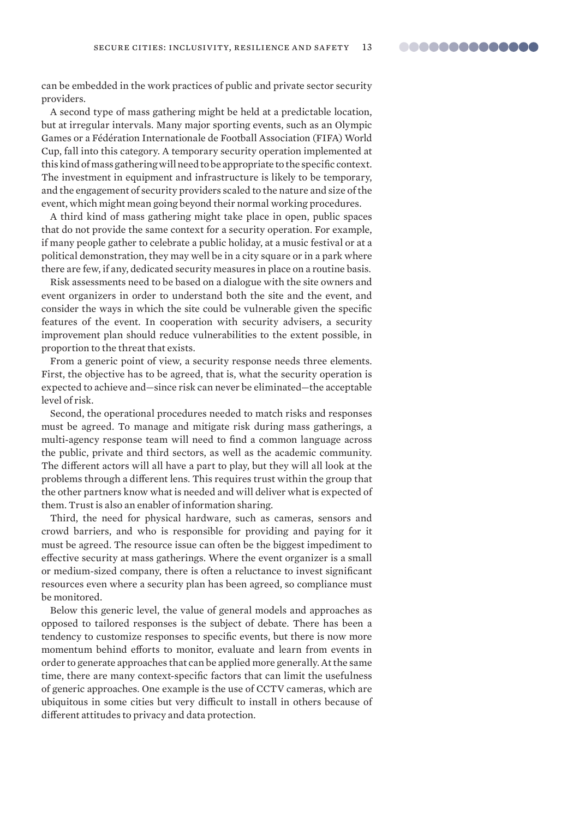can be embedded in the work practices of public and private sector security providers.

A second type of mass gathering might be held at a predictable location, but at irregular intervals. Many major sporting events, such as an Olympic Games or a Fédération Internationale de Football Association (FIFA) World Cup, fall into this category. A temporary security operation implemented at this kind of mass gathering will need to be appropriate to the specific context. The investment in equipment and infrastructure is likely to be temporary, and the engagement of security providers scaled to the nature and size of the event, which might mean going beyond their normal working procedures.

A third kind of mass gathering might take place in open, public spaces that do not provide the same context for a security operation. For example, if many people gather to celebrate a public holiday, at a music festival or at a political demonstration, they may well be in a city square or in a park where there are few, if any, dedicated security measures in place on a routine basis.

Risk assessments need to be based on a dialogue with the site owners and event organizers in order to understand both the site and the event, and consider the ways in which the site could be vulnerable given the specific features of the event. In cooperation with security advisers, a security improvement plan should reduce vulnerabilities to the extent possible, in proportion to the threat that exists.

From a generic point of view, a security response needs three elements. First, the objective has to be agreed, that is, what the security operation is expected to achieve and—since risk can never be eliminated—the acceptable level of risk.

Second, the operational procedures needed to match risks and responses must be agreed. To manage and mitigate risk during mass gatherings, a multi-agency response team will need to find a common language across the public, private and third sectors, as well as the academic community. The different actors will all have a part to play, but they will all look at the problems through a different lens. This requires trust within the group that the other partners know what is needed and will deliver what is expected of them. Trust is also an enabler of information sharing.

Third, the need for physical hardware, such as cameras, sensors and crowd barriers, and who is responsible for providing and paying for it must be agreed. The resource issue can often be the biggest impediment to effective security at mass gatherings. Where the event organizer is a small or medium-sized company, there is often a reluctance to invest significant resources even where a security plan has been agreed, so compliance must be monitored.

Below this generic level, the value of general models and approaches as opposed to tailored responses is the subject of debate. There has been a tendency to customize responses to specific events, but there is now more momentum behind efforts to monitor, evaluate and learn from events in order to generate approaches that can be applied more generally. At the same time, there are many context-specific factors that can limit the usefulness of generic approaches. One example is the use of CCTV cameras, which are ubiquitous in some cities but very difficult to install in others because of different attitudes to privacy and data protection.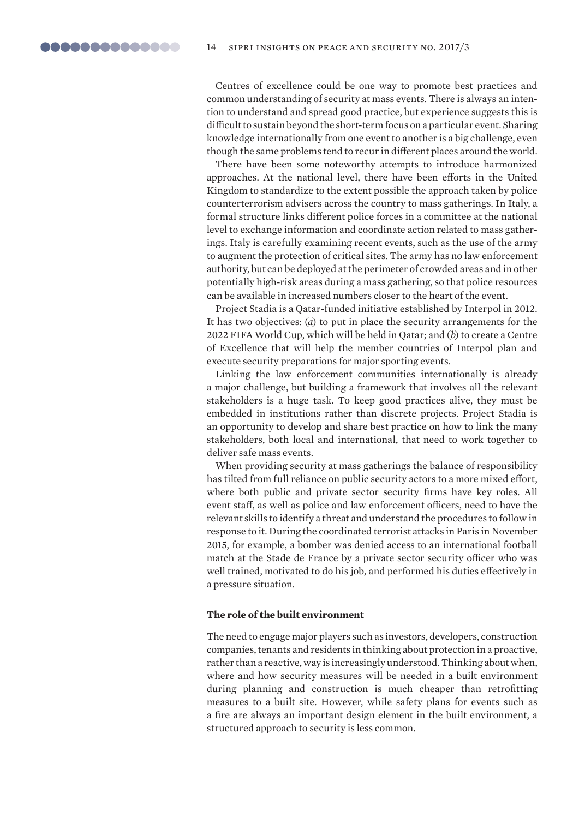Centres of excellence could be one way to promote best practices and common understanding of security at mass events. There is always an intention to understand and spread good practice, but experience suggests this is difficult to sustain beyond the short-term focus on a particular event. Sharing knowledge internationally from one event to another is a big challenge, even though the same problems tend to recur in different places around the world.

There have been some noteworthy attempts to introduce harmonized approaches. At the national level, there have been efforts in the United Kingdom to standardize to the extent possible the approach taken by police counterterrorism advisers across the country to mass gatherings. In Italy, a formal structure links different police forces in a committee at the national level to exchange information and coordinate action related to mass gatherings. Italy is carefully examining recent events, such as the use of the army to augment the protection of critical sites. The army has no law enforcement authority, but can be deployed at the perimeter of crowded areas and in other potentially high-risk areas during a mass gathering, so that police resources can be available in increased numbers closer to the heart of the event.

Project Stadia is a Qatar-funded initiative established by Interpol in 2012. It has two objectives: (*a*) to put in place the security arrangements for the 2022 FIFA World Cup, which will be held in Qatar; and (*b*) to create a Centre of Excellence that will help the member countries of Interpol plan and execute security preparations for major sporting events.

Linking the law enforcement communities internationally is already a major challenge, but building a framework that involves all the relevant stakeholders is a huge task. To keep good practices alive, they must be embedded in institutions rather than discrete projects. Project Stadia is an opportunity to develop and share best practice on how to link the many stakeholders, both local and international, that need to work together to deliver safe mass events.

When providing security at mass gatherings the balance of responsibility has tilted from full reliance on public security actors to a more mixed effort, where both public and private sector security firms have key roles. All event staff, as well as police and law enforcement officers, need to have the relevant skills to identify a threat and understand the procedures to follow in response to it. During the coordinated terrorist attacks in Paris in November 2015, for example, a bomber was denied access to an international football match at the Stade de France by a private sector security officer who was well trained, motivated to do his job, and performed his duties effectively in a pressure situation.

### **The role of the built environment**

The need to engage major players such as investors, developers, construction companies, tenants and residents in thinking about protection in a proactive, rather than a reactive, way is increasingly understood. Thinking about when, where and how security measures will be needed in a built environment during planning and construction is much cheaper than retrofitting measures to a built site. However, while safety plans for events such as a fire are always an important design element in the built environment, a structured approach to security is less common.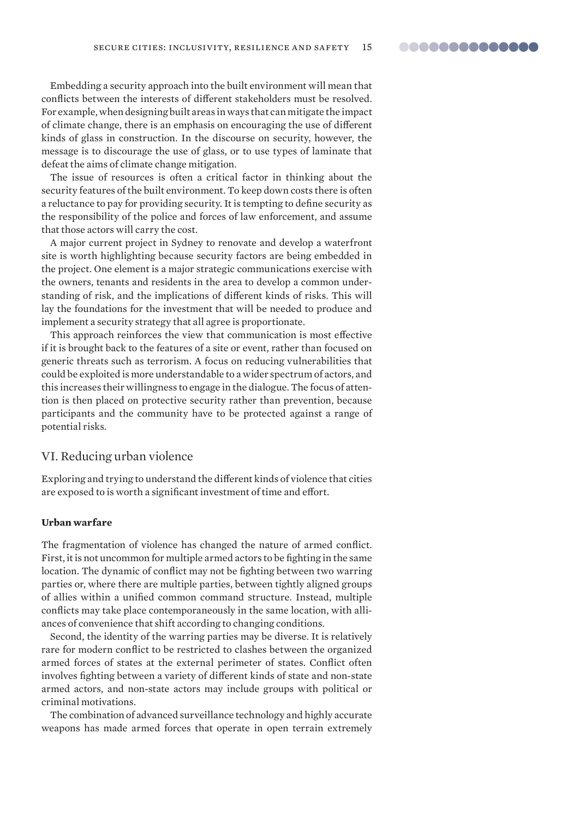Embedding a security approach into the built environment will mean that conflicts between the interests of different stakeholders must be resolved. For example, when designing built areas in ways that can mitigate the impact of climate change, there is an emphasis on encouraging the use of different kinds of glass in construction. In the discourse on security, however, the message is to discourage the use of glass, or to use types of laminate that defeat the aims of climate change mitigation.

The issue of resources is often a critical factor in thinking about the security features of the built environment. To keep down costs there is often a reluctance to pay for providing security. It is tempting to define security as the responsibility of the police and forces of law enforcement, and assume that those actors will carry the cost.

A major current project in Sydney to renovate and develop a waterfront site is worth highlighting because security factors are being embedded in the project. One element is a major strategic communications exercise with the owners, tenants and residents in the area to develop a common understanding of risk, and the implications of different kinds of risks. This will lay the foundations for the investment that will be needed to produce and implement a security strategy that all agree is proportionate.

This approach reinforces the view that communication is most effective if it is brought back to the features of a site or event, rather than focused on generic threats such as terrorism. A focus on reducing vulnerabilities that could be exploited is more understandable to a wider spectrum of actors, and this increases their willingness to engage in the dialogue. The focus of attention is then placed on protective security rather than prevention, because participants and the community have to be protected against a range of potential risks.

## VI. Reducing urban violence

Exploring and trying to understand the different kinds of violence that cities are exposed to is worth a significant investment of time and effort.

#### **Urban warfare**

The fragmentation of violence has changed the nature of armed conflict. First, it is not uncommon for multiple armed actors to be fighting in the same location. The dynamic of conflict may not be fighting between two warring parties or, where there are multiple parties, between tightly aligned groups of allies within a unified common command structure. Instead, multiple conflicts may take place contemporaneously in the same location, with alliances of convenience that shift according to changing conditions.

Second, the identity of the warring parties may be diverse. It is relatively rare for modern conflict to be restricted to clashes between the organized armed forces of states at the external perimeter of states. Conflict often involves fighting between a variety of different kinds of state and non-state armed actors, and non-state actors may include groups with political or criminal motivations.

The combination of advanced surveillance technology and highly accurate weapons has made armed forces that operate in open terrain extremely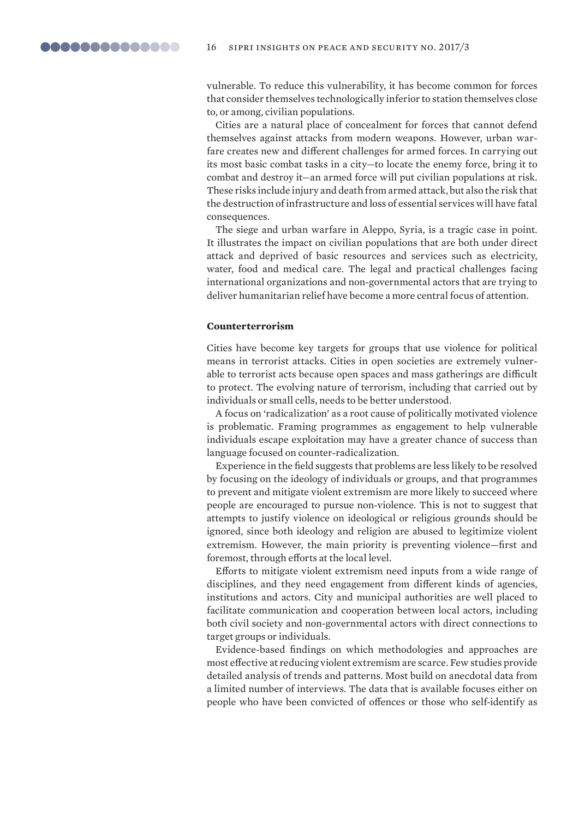vulnerable. To reduce this vulnerability, it has become common for forces that consider themselves technologically inferior to station themselves close to, or among, civilian populations.

Cities are a natural place of concealment for forces that cannot defend themselves against attacks from modern weapons. However, urban warfare creates new and different challenges for armed forces. In carrying out its most basic combat tasks in a city—to locate the enemy force, bring it to combat and destroy it—an armed force will put civilian populations at risk. These risks include injury and death from armed attack, but also the risk that the destruction of infrastructure and loss of essential services will have fatal consequences.

The siege and urban warfare in Aleppo, Syria, is a tragic case in point. It illustrates the impact on civilian populations that are both under direct attack and deprived of basic resources and services such as electricity, water, food and medical care. The legal and practical challenges facing international organizations and non-governmental actors that are trying to deliver humanitarian relief have become a more central focus of attention.

#### **Counterterrorism**

Cities have become key targets for groups that use violence for political means in terrorist attacks. Cities in open societies are extremely vulnerable to terrorist acts because open spaces and mass gatherings are difficult to protect. The evolving nature of terrorism, including that carried out by individuals or small cells, needs to be better understood.

A focus on 'radicalization' as a root cause of politically motivated violence is problematic. Framing programmes as engagement to help vulnerable individuals escape exploitation may have a greater chance of success than language focused on counter-radicalization.

Experience in the field suggests that problems are less likely to be resolved by focusing on the ideology of individuals or groups, and that programmes to prevent and mitigate violent extremism are more likely to succeed where people are encouraged to pursue non-violence. This is not to suggest that attempts to justify violence on ideological or religious grounds should be ignored, since both ideology and religion are abused to legitimize violent extremism. However, the main priority is preventing violence—first and foremost, through efforts at the local level.

Efforts to mitigate violent extremism need inputs from a wide range of disciplines, and they need engagement from different kinds of agencies, institutions and actors. City and municipal authorities are well placed to facilitate communication and cooperation between local actors, including both civil society and non-governmental actors with direct connections to target groups or individuals.

Evidence-based findings on which methodologies and approaches are most effective at reducing violent extremism are scarce. Few studies provide detailed analysis of trends and patterns. Most build on anecdotal data from a limited number of interviews. The data that is available focuses either on people who have been convicted of offences or those who self-identify as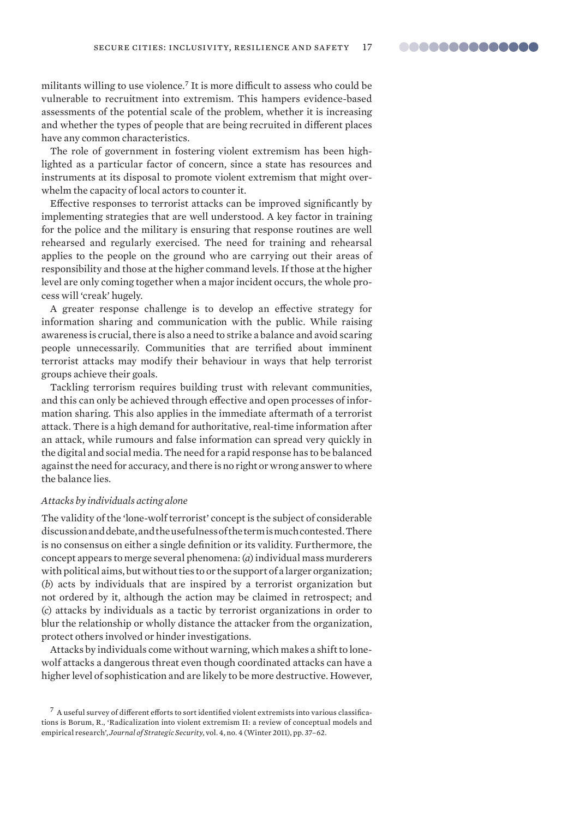militants willing to use violence.<sup>7</sup> It is more difficult to assess who could be vulnerable to recruitment into extremism. This hampers evidence-based assessments of the potential scale of the problem, whether it is increasing and whether the types of people that are being recruited in different places have any common characteristics.

The role of government in fostering violent extremism has been highlighted as a particular factor of concern, since a state has resources and instruments at its disposal to promote violent extremism that might overwhelm the capacity of local actors to counter it.

Effective responses to terrorist attacks can be improved significantly by implementing strategies that are well understood. A key factor in training for the police and the military is ensuring that response routines are well rehearsed and regularly exercised. The need for training and rehearsal applies to the people on the ground who are carrying out their areas of responsibility and those at the higher command levels. If those at the higher level are only coming together when a major incident occurs, the whole process will 'creak' hugely.

A greater response challenge is to develop an effective strategy for information sharing and communication with the public. While raising awareness is crucial, there is also a need to strike a balance and avoid scaring people unnecessarily. Communities that are terrified about imminent terrorist attacks may modify their behaviour in ways that help terrorist groups achieve their goals.

Tackling terrorism requires building trust with relevant communities, and this can only be achieved through effective and open processes of information sharing. This also applies in the immediate aftermath of a terrorist attack. There is a high demand for authoritative, real-time information after an attack, while rumours and false information can spread very quickly in the digital and social media. The need for a rapid response has to be balanced against the need for accuracy, and there is no right or wrong answer to where the balance lies.

#### *Attacks by individuals acting alone*

The validity of the 'lone-wolf terrorist' concept is the subject of considerable discussion and debate, and the usefulness of the term is much contested. There is no consensus on either a single definition or its validity. Furthermore, the concept appears to merge several phenomena: (*a*) individual mass murderers with political aims, but without ties to or the support of a larger organization; (*b*) acts by individuals that are inspired by a terrorist organization but not ordered by it, although the action may be claimed in retrospect; and (*c*) attacks by individuals as a tactic by terrorist organizations in order to blur the relationship or wholly distance the attacker from the organization, protect others involved or hinder investigations.

Attacks by individuals come without warning, which makes a shift to lonewolf attacks a dangerous threat even though coordinated attacks can have a higher level of sophistication and are likely to be more destructive. However,

 $^7$  A useful survey of different efforts to sort identified violent extremists into various classifications is Borum, R., 'Radicalization into violent extremism II: a review of conceptual models and empirical research', *Journal of Strategic Security*, vol. 4, no. 4 (Winter 2011), pp. 37–62.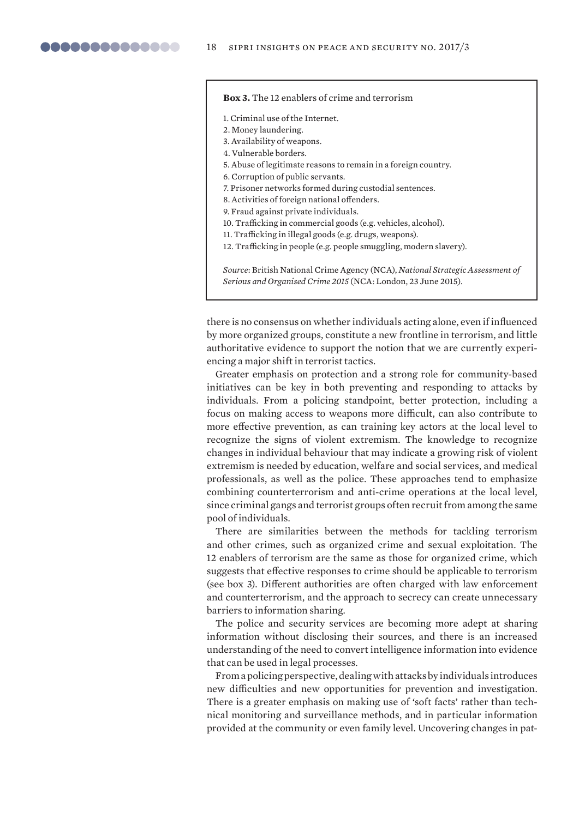## **Box 3.** The 12 enablers of crime and terrorism

- 1. Criminal use of the Internet.
- 2. Money laundering.
- 3. Availability of weapons.
- 4. Vulnerable borders.
- 5. Abuse of legitimate reasons to remain in a foreign country.
- 6. Corruption of public servants.
- 7. Prisoner networks formed during custodial sentences.
- 8. Activities of foreign national offenders.
- 9. Fraud against private individuals.
- 10. Trafficking in commercial goods (e.g. vehicles, alcohol).
- 11. Trafficking in illegal goods (e.g. drugs, weapons).
- 12. Trafficking in people (e.g. people smuggling, modern slavery).

*Source*: British National Crime Agency (NCA), *National Strategic Assessment of Serious and Organised Crime 2015* (NCA: London, 23 June 2015).

there is no consensus on whether individuals acting alone, even if influenced by more organized groups, constitute a new frontline in terrorism, and little authoritative evidence to support the notion that we are currently experiencing a major shift in terrorist tactics.

Greater emphasis on protection and a strong role for community-based initiatives can be key in both preventing and responding to attacks by individuals. From a policing standpoint, better protection, including a focus on making access to weapons more difficult, can also contribute to more effective prevention, as can training key actors at the local level to recognize the signs of violent extremism. The knowledge to recognize changes in individual behaviour that may indicate a growing risk of violent extremism is needed by education, welfare and social services, and medical professionals, as well as the police. These approaches tend to emphasize combining counterterrorism and anti-crime operations at the local level, since criminal gangs and terrorist groups often recruit from among the same pool of individuals.

There are similarities between the methods for tackling terrorism and other crimes, such as organized crime and sexual exploitation. The 12 enablers of terrorism are the same as those for organized crime, which suggests that effective responses to crime should be applicable to terrorism (see box 3). Different authorities are often charged with law enforcement and counterterrorism, and the approach to secrecy can create unnecessary barriers to information sharing.

The police and security services are becoming more adept at sharing information without disclosing their sources, and there is an increased understanding of the need to convert intelligence information into evidence that can be used in legal processes.

From a policing perspective, dealing with attacks by individuals introduces new difficulties and new opportunities for prevention and investigation. There is a greater emphasis on making use of 'soft facts' rather than technical monitoring and surveillance methods, and in particular information provided at the community or even family level. Uncovering changes in pat-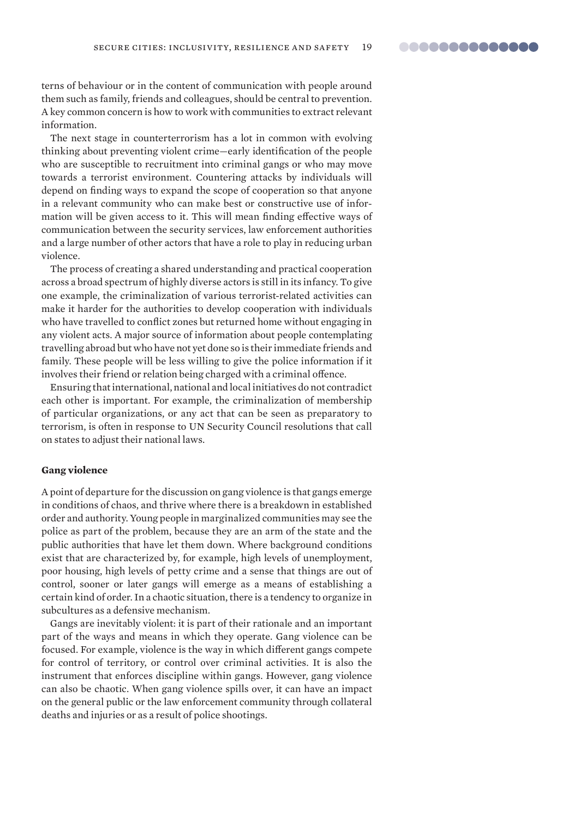terns of behaviour or in the content of communication with people around them such as family, friends and colleagues, should be central to prevention. A key common concern is how to work with communities to extract relevant information.

The next stage in counterterrorism has a lot in common with evolving thinking about preventing violent crime—early identification of the people who are susceptible to recruitment into criminal gangs or who may move towards a terrorist environment. Countering attacks by individuals will depend on finding ways to expand the scope of cooperation so that anyone in a relevant community who can make best or constructive use of information will be given access to it. This will mean finding effective ways of communication between the security services, law enforcement authorities and a large number of other actors that have a role to play in reducing urban violence.

The process of creating a shared understanding and practical cooperation across a broad spectrum of highly diverse actors is still in its infancy. To give one example, the criminalization of various terrorist-related activities can make it harder for the authorities to develop cooperation with individuals who have travelled to conflict zones but returned home without engaging in any violent acts. A major source of information about people contemplating travelling abroad but who have not yet done so is their immediate friends and family. These people will be less willing to give the police information if it involves their friend or relation being charged with a criminal offence.

Ensuring that international, national and local initiatives do not contradict each other is important. For example, the criminalization of membership of particular organizations, or any act that can be seen as preparatory to terrorism, is often in response to UN Security Council resolutions that call on states to adjust their national laws.

#### **Gang violence**

A point of departure for the discussion on gang violence is that gangs emerge in conditions of chaos, and thrive where there is a breakdown in established order and authority. Young people in marginalized communities may see the police as part of the problem, because they are an arm of the state and the public authorities that have let them down. Where background conditions exist that are characterized by, for example, high levels of unemployment, poor housing, high levels of petty crime and a sense that things are out of control, sooner or later gangs will emerge as a means of establishing a certain kind of order. In a chaotic situation, there is a tendency to organize in subcultures as a defensive mechanism.

Gangs are inevitably violent: it is part of their rationale and an important part of the ways and means in which they operate. Gang violence can be focused. For example, violence is the way in which different gangs compete for control of territory, or control over criminal activities. It is also the instrument that enforces discipline within gangs. However, gang violence can also be chaotic. When gang violence spills over, it can have an impact on the general public or the law enforcement community through collateral deaths and injuries or as a result of police shootings.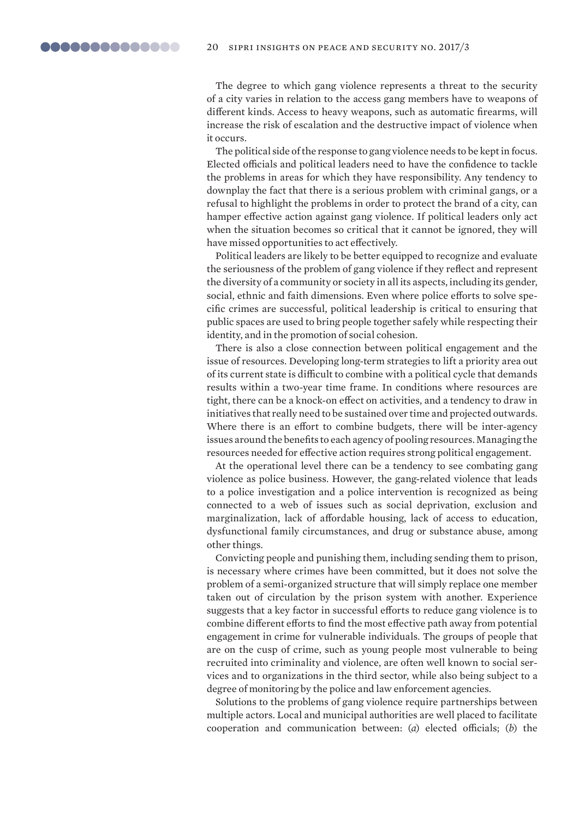The degree to which gang violence represents a threat to the security of a city varies in relation to the access gang members have to weapons of different kinds. Access to heavy weapons, such as automatic firearms, will increase the risk of escalation and the destructive impact of violence when it occurs.

The political side of the response to gang violence needs to be kept in focus. Elected officials and political leaders need to have the confidence to tackle the problems in areas for which they have responsibility. Any tendency to downplay the fact that there is a serious problem with criminal gangs, or a refusal to highlight the problems in order to protect the brand of a city, can hamper effective action against gang violence. If political leaders only act when the situation becomes so critical that it cannot be ignored, they will have missed opportunities to act effectively.

Political leaders are likely to be better equipped to recognize and evaluate the seriousness of the problem of gang violence if they reflect and represent the diversity of a community or society in all its aspects, including its gender, social, ethnic and faith dimensions. Even where police efforts to solve specific crimes are successful, political leadership is critical to ensuring that public spaces are used to bring people together safely while respecting their identity, and in the promotion of social cohesion.

There is also a close connection between political engagement and the issue of resources. Developing long-term strategies to lift a priority area out of its current state is difficult to combine with a political cycle that demands results within a two-year time frame. In conditions where resources are tight, there can be a knock-on effect on activities, and a tendency to draw in initiatives that really need to be sustained over time and projected outwards. Where there is an effort to combine budgets, there will be inter-agency issues around the benefits to each agency of pooling resources. Managing the resources needed for effective action requires strong political engagement.

At the operational level there can be a tendency to see combating gang violence as police business. However, the gang-related violence that leads to a police investigation and a police intervention is recognized as being connected to a web of issues such as social deprivation, exclusion and marginalization, lack of affordable housing, lack of access to education, dysfunctional family circumstances, and drug or substance abuse, among other things.

Convicting people and punishing them, including sending them to prison, is necessary where crimes have been committed, but it does not solve the problem of a semi-organized structure that will simply replace one member taken out of circulation by the prison system with another. Experience suggests that a key factor in successful efforts to reduce gang violence is to combine different efforts to find the most effective path away from potential engagement in crime for vulnerable individuals. The groups of people that are on the cusp of crime, such as young people most vulnerable to being recruited into criminality and violence, are often well known to social services and to organizations in the third sector, while also being subject to a degree of monitoring by the police and law enforcement agencies.

Solutions to the problems of gang violence require partnerships between multiple actors. Local and municipal authorities are well placed to facilitate cooperation and communication between: (*a*) elected officials; (*b*) the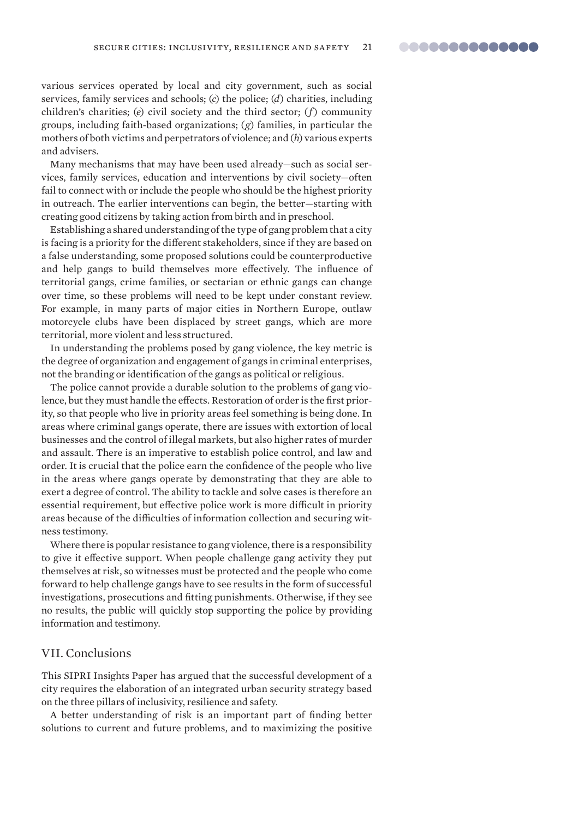various services operated by local and city government, such as social services, family services and schools; (*c*) the police; (*d*) charities, including children's charities; (*e*) civil society and the third sector; (*f*) community groups, including faith-based organizations; (*g*) families, in particular the mothers of both victims and perpetrators of violence; and (*h*) various experts and advisers.

Many mechanisms that may have been used already—such as social services, family services, education and interventions by civil society—often fail to connect with or include the people who should be the highest priority in outreach. The earlier interventions can begin, the better—starting with creating good citizens by taking action from birth and in preschool.

Establishing a shared understanding of the type of gang problem that a city is facing is a priority for the different stakeholders, since if they are based on a false understanding, some proposed solutions could be counterproductive and help gangs to build themselves more effectively. The influence of territorial gangs, crime families, or sectarian or ethnic gangs can change over time, so these problems will need to be kept under constant review. For example, in many parts of major cities in Northern Europe, outlaw motorcycle clubs have been displaced by street gangs, which are more territorial, more violent and less structured.

In understanding the problems posed by gang violence, the key metric is the degree of organization and engagement of gangs in criminal enterprises, not the branding or identification of the gangs as political or religious.

The police cannot provide a durable solution to the problems of gang violence, but they must handle the effects. Restoration of order is the first priority, so that people who live in priority areas feel something is being done. In areas where criminal gangs operate, there are issues with extortion of local businesses and the control of illegal markets, but also higher rates of murder and assault. There is an imperative to establish police control, and law and order. It is crucial that the police earn the confidence of the people who live in the areas where gangs operate by demonstrating that they are able to exert a degree of control. The ability to tackle and solve cases is therefore an essential requirement, but effective police work is more difficult in priority areas because of the difficulties of information collection and securing witness testimony.

Where there is popular resistance to gang violence, there is a responsibility to give it effective support. When people challenge gang activity they put themselves at risk, so witnesses must be protected and the people who come forward to help challenge gangs have to see results in the form of successful investigations, prosecutions and fitting punishments. Otherwise, if they see no results, the public will quickly stop supporting the police by providing information and testimony.

## VII. Conclusions

This SIPRI Insights Paper has argued that the successful development of a city requires the elaboration of an integrated urban security strategy based on the three pillars of inclusivity, resilience and safety.

A better understanding of risk is an important part of finding better solutions to current and future problems, and to maximizing the positive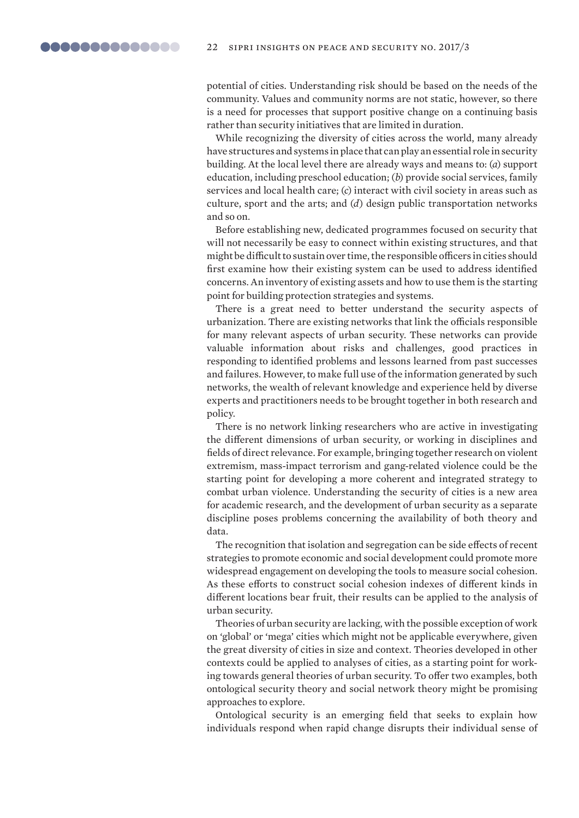potential of cities. Understanding risk should be based on the needs of the community. Values and community norms are not static, however, so there is a need for processes that support positive change on a continuing basis rather than security initiatives that are limited in duration.

While recognizing the diversity of cities across the world, many already have structures and systems in place that can play an essential role in security building. At the local level there are already ways and means to: (*a*) support education, including preschool education; (*b*) provide social services, family services and local health care; (*c*) interact with civil society in areas such as culture, sport and the arts; and (*d*) design public transportation networks and so on.

Before establishing new, dedicated programmes focused on security that will not necessarily be easy to connect within existing structures, and that might be difficult to sustain over time, the responsible officers in cities should first examine how their existing system can be used to address identified concerns. An inventory of existing assets and how to use them is the starting point for building protection strategies and systems.

There is a great need to better understand the security aspects of urbanization. There are existing networks that link the officials responsible for many relevant aspects of urban security. These networks can provide valuable information about risks and challenges, good practices in responding to identified problems and lessons learned from past successes and failures. However, to make full use of the information generated by such networks, the wealth of relevant knowledge and experience held by diverse experts and practitioners needs to be brought together in both research and policy.

There is no network linking researchers who are active in investigating the different dimensions of urban security, or working in disciplines and fields of direct relevance. For example, bringing together research on violent extremism, mass-impact terrorism and gang-related violence could be the starting point for developing a more coherent and integrated strategy to combat urban violence. Understanding the security of cities is a new area for academic research, and the development of urban security as a separate discipline poses problems concerning the availability of both theory and data.

The recognition that isolation and segregation can be side effects of recent strategies to promote economic and social development could promote more widespread engagement on developing the tools to measure social cohesion. As these efforts to construct social cohesion indexes of different kinds in different locations bear fruit, their results can be applied to the analysis of urban security.

Theories of urban security are lacking, with the possible exception of work on 'global' or 'mega' cities which might not be applicable everywhere, given the great diversity of cities in size and context. Theories developed in other contexts could be applied to analyses of cities, as a starting point for working towards general theories of urban security. To offer two examples, both ontological security theory and social network theory might be promising approaches to explore.

Ontological security is an emerging field that seeks to explain how individuals respond when rapid change disrupts their individual sense of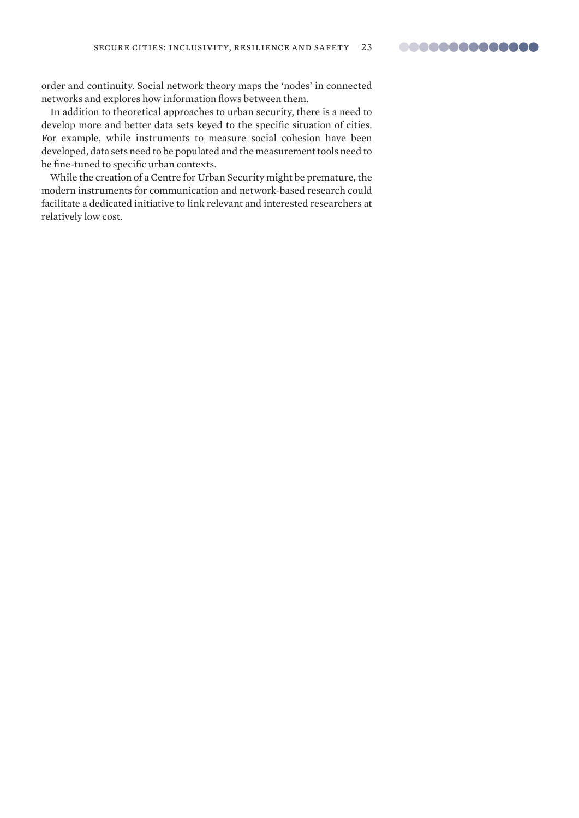order and continuity. Social network theory maps the 'nodes' in connected networks and explores how information flows between them.

In addition to theoretical approaches to urban security, there is a need to develop more and better data sets keyed to the specific situation of cities. For example, while instruments to measure social cohesion have been developed, data sets need to be populated and the measurement tools need to be fine-tuned to specific urban contexts.

While the creation of a Centre for Urban Security might be premature, the modern instruments for communication and network-based research could facilitate a dedicated initiative to link relevant and interested researchers at relatively low cost.